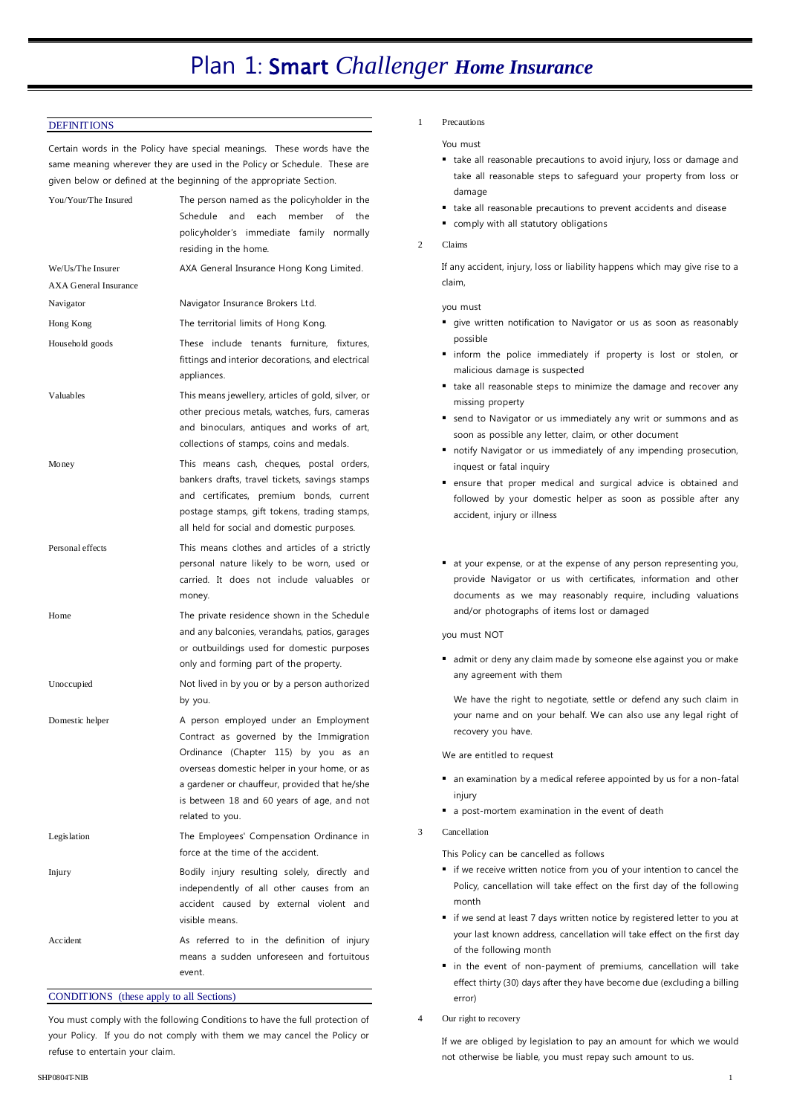#### **DEFINITIONS**

Certain words in the Policy have special meanings. These words have the same meaning wherever they are used in the Policy or Schedule. These are given below or defined at the beginning of the appropriate Section.

| You/Your/The Insured         | The person named as the policyholder in the<br>Schedule<br>and<br>each<br>member<br>of<br>the<br>policyholder's immediate family<br>normally<br>residing in the home.                                                                                                                      |
|------------------------------|--------------------------------------------------------------------------------------------------------------------------------------------------------------------------------------------------------------------------------------------------------------------------------------------|
| We/Us/The Insurer            | AXA General Insurance Hong Kong Limited.                                                                                                                                                                                                                                                   |
| <b>AXA General Insurance</b> |                                                                                                                                                                                                                                                                                            |
| Navigator                    | Navigator Insurance Brokers Ltd.                                                                                                                                                                                                                                                           |
| Hong Kong                    | The territorial limits of Hong Kong.                                                                                                                                                                                                                                                       |
| Household goods              | include tenants furniture, fixtures,<br>These<br>fittings and interior decorations, and electrical<br>appliances.                                                                                                                                                                          |
| Valuables                    | This means jewellery, articles of gold, silver, or<br>other precious metals, watches, furs, cameras<br>and binoculars, antiques and works of art,<br>collections of stamps, coins and medals.                                                                                              |
| Money                        | This means cash, cheques, postal orders,<br>bankers drafts, travel tickets, savings stamps<br>and certificates, premium bonds, current<br>postage stamps, gift tokens, trading stamps,<br>all held for social and domestic purposes.                                                       |
| Personal effects             | This means clothes and articles of a strictly<br>personal nature likely to be worn, used or<br>carried. It does not include valuables or<br>money.                                                                                                                                         |
| Home                         | The private residence shown in the Schedule<br>and any balconies, verandahs, patios, garages<br>or outbuildings used for domestic purposes<br>only and forming part of the property.                                                                                                       |
| Unoccupied                   | Not lived in by you or by a person authorized<br>by you.                                                                                                                                                                                                                                   |
| Domestic helper              | A person employed under an Employment<br>Contract as governed by the Immigration<br>Ordinance (Chapter 115) by you as an<br>overseas domestic helper in your home, or as<br>a gardener or chauffeur, provided that he/she<br>is between 18 and 60 years of age, and not<br>related to you. |
| Legislation                  | The Employees' Compensation Ordinance in<br>force at the time of the accident.                                                                                                                                                                                                             |
| Injury                       | Bodily injury resulting solely, directly and<br>independently of all other causes from an<br>accident caused by external violent and<br>visible means.                                                                                                                                     |
| Accident                     | As referred to in the definition of injury<br>means a sudden unforeseen and fortuitous<br>event.                                                                                                                                                                                           |

CONDITIONS (these apply to all Sections)

You must comply with the following Conditions to have the full protection of your Policy. If you do not comply with them we may cancel the Policy or refuse to entertain your claim.

1 Precautions

You must

- take all reasonable precautions to avoid injury, loss or damage and take all reasonable steps to safeguard your property from loss or damage
- take all reasonable precautions to prevent accidents and disease
- comply with all statutory obligations
- 2 Claims

If any accident, injury, loss or liability happens which may give rise to a claim,

you must

- **give written notification to Navigator or us as soon as reasonably** possible
- $\blacksquare$  inform the police immediately if property is lost or stolen, or malicious damage is suspected
- take all reasonable steps to minimize the damage and recover any missing property
- send to Navigator or us immediately any writ or summons and as soon as possible any letter, claim, or other document
- notify Navigator or us immediately of any impending prosecution, inquest or fatal inquiry
- ensure that proper medical and surgical advice is obtained and followed by your domestic helper as soon as possible after any accident, injury or illness
- at your expense, or at the expense of any person representing you, provide Navigator or us with certificates, information and other documents as we may reasonably require, including valuations and/or photographs of items lost or damaged

you must NOT

 admit or deny any claim made by someone else against you or make any agreement with them

We have the right to negotiate, settle or defend any such claim in your name and on your behalf. We can also use any legal right of recovery you have.

We are entitled to request

- an examination by a medical referee appointed by us for a non-fatal injury
- a post-mortem examination in the event of death
- 3 Cancellation

This Policy can be cancelled as follows

- if we receive written notice from you of your intention to cancel the Policy, cancellation will take effect on the first day of the following month
- if we send at least 7 days written notice by registered letter to you at your last known address, cancellation will take effect on the first day of the following month
- in the event of non-payment of premiums, cancellation will take effect thirty (30) days after they have become due (excluding a billing error)
- 4 Our right to recovery

If we are obliged by legislation to pay an amount for which we would not otherwise be liable, you must repay such amount to us.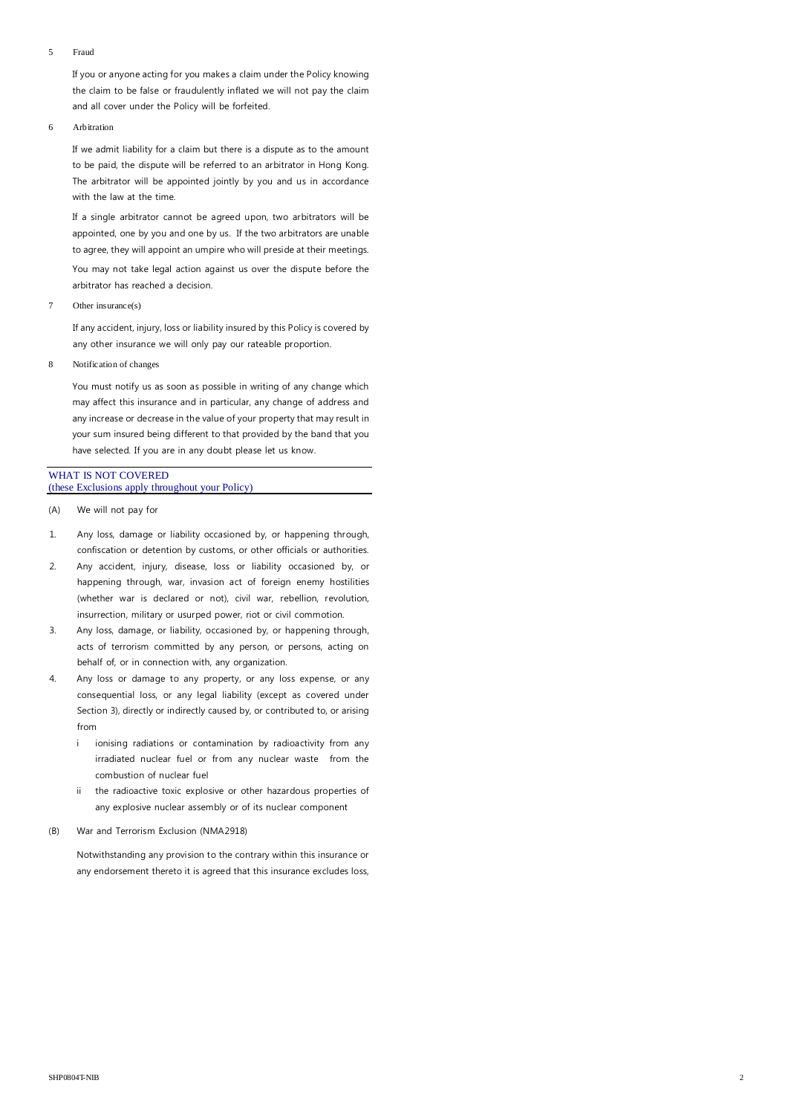#### 5 Fraud

If you or anyone acting for you makes a claim under the Policy knowing the claim to be false or fraudulently inflated we will not pay the claim and all cover under the Policy will be forfeited.

#### 6 Arbitration

If we admit liability for a claim but there is a dispute as to the amount to be paid, the dispute will be referred to an arbitrator in Hong Kong. The arbitrator will be appointed jointly by you and us in accordance with the law at the time.

If a single arbitrator cannot be agreed upon, two arbitrators will be appointed, one by you and one by us. If the two arbitrators are unable to agree, they will appoint an umpire who will preside at their meetings. You may not take legal action against us over the dispute before the arbitrator has reached a decision.

7 Other insurance(s)

If any accident, injury, loss or liability insured by this Policy is covered by any other insurance we will only pay our rateable proportion.

8 Notification of changes

You must notify us as soon as possible in writing of any change which may affect this insurance and in particular, any change of address and any increase or decrease in the value of your property that may result in your sum insured being different to that provided by the band that you have selected. If you are in any doubt please let us know.

#### WHAT IS NOT COVERED (these Exclusions apply throughout your Policy)

- (A) We will not pay for
- 1. Any loss, damage or liability occasioned by, or happening through, confiscation or detention by customs, or other officials or authorities.
- 2. Any accident, injury, disease, loss or liability occasioned by, or happening through, war, invasion act of foreign enemy hostilities (whether war is declared or not), civil war, rebellion, revolution, insurrection, military or usurped power, riot or civil commotion.
- 3. Any loss, damage, or liability, occasioned by, or happening through, acts of terrorism committed by any person, or persons, acting on behalf of, or in connection with, any organization.
- 4. Any loss or damage to any property, or any loss expense, or any consequential loss, or any legal liability (except as covered under Section 3), directly or indirectly caused by, or contributed to, or arising from
	- i ionising radiations or contamination by radioactivity from any irradiated nuclear fuel or from any nuclear waste from the combustion of nuclear fuel
	- ii the radioactive toxic explosive or other hazardous properties of any explosive nuclear assembly or of its nuclear component
- (B) War and Terrorism Exclusion (NMA2918)

Notwithstanding any provision to the contrary within this insurance or any endorsement thereto it is agreed that this insurance excludes loss,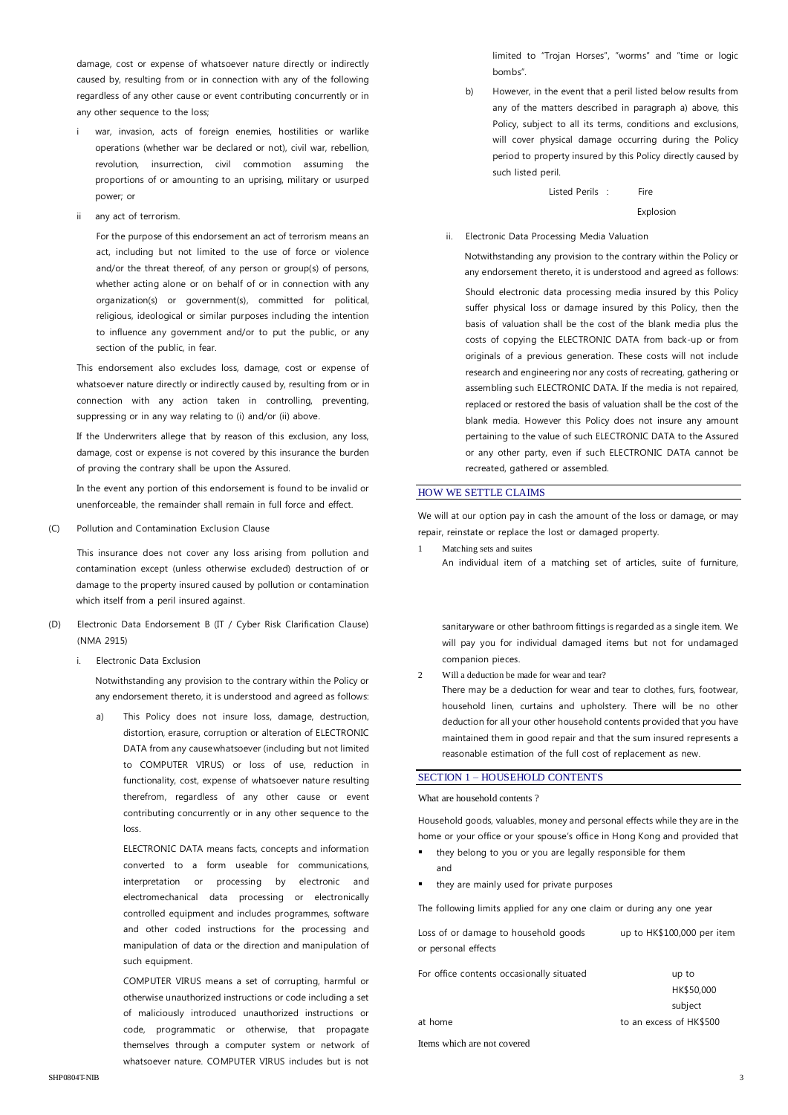damage, cost or expense of whatsoever nature directly or indirectly caused by, resulting from or in connection with any of the following regardless of any other cause or event contributing concurrently or in any other sequence to the loss;

- i war, invasion, acts of foreign enemies, hostilities or warlike operations (whether war be declared or not), civil war, rebellion, revolution, insurrection, civil commotion assuming the proportions of or amounting to an uprising, military or usurped power; or
- ii any act of terrorism.

For the purpose of this endorsement an act of terrorism means an act, including but not limited to the use of force or violence and/or the threat thereof, of any person or group(s) of persons, whether acting alone or on behalf of or in connection with any organization(s) or government(s), committed for political, religious, ideological or similar purposes including the intention to influence any government and/or to put the public, or any section of the public, in fear.

This endorsement also excludes loss, damage, cost or expense of whatsoever nature directly or indirectly caused by, resulting from or in connection with any action taken in controlling, preventing, suppressing or in any way relating to (i) and/or (ii) above.

If the Underwriters allege that by reason of this exclusion, any loss, damage, cost or expense is not covered by this insurance the burden of proving the contrary shall be upon the Assured.

In the event any portion of this endorsement is found to be invalid or unenforceable, the remainder shall remain in full force and effect.

(C) Pollution and Contamination Exclusion Clause

This insurance does not cover any loss arising from pollution and contamination except (unless otherwise excluded) destruction of or damage to the property insured caused by pollution or contamination which itself from a peril insured against.

- (D) Electronic Data Endorsement B (IT / Cyber Risk Clarification Clause) (NMA 2915)
	- i. Electronic Data Exclusion

Notwithstanding any provision to the contrary within the Policy or any endorsement thereto, it is understood and agreed as follows:

a) This Policy does not insure loss, damage, destruction, distortion, erasure, corruption or alteration of ELECTRONIC DATA from any causewhatsoever (including but not limited to COMPUTER VIRUS) or loss of use, reduction in functionality, cost, expense of whatsoever nature resulting therefrom, regardless of any other cause or event contributing concurrently or in any other sequence to the loss.

> ELECTRONIC DATA means facts, concepts and information converted to a form useable for communications, interpretation or processing by electronic and electromechanical data processing or electronically controlled equipment and includes programmes, software and other coded instructions for the processing and manipulation of data or the direction and manipulation of such equipment.

> COMPUTER VIRUS means a set of corrupting, harmful or otherwise unauthorized instructions or code including a set of maliciously introduced unauthorized instructions or code, programmatic or otherwise, that propagate themselves through a computer system or network of whatsoever nature. COMPUTER VIRUS includes but is not

limited to "Trojan Horses", "worms" and "time or logic bombs".

b) However, in the event that a peril listed below results from any of the matters described in paragraph a) above, this Policy, subject to all its terms, conditions and exclusions, will cover physical damage occurring during the Policy period to property insured by this Policy directly caused by such listed peril.

Listed Perils : Fire

Explosion

ii. Electronic Data Processing Media Valuation

Notwithstanding any provision to the contrary within the Policy or any endorsement thereto, it is understood and agreed as follows: Should electronic data processing media insured by this Policy suffer physical loss or damage insured by this Policy, then the basis of valuation shall be the cost of the blank media plus the costs of copying the ELECTRONIC DATA from back-up or from originals of a previous generation. These costs will not include research and engineering nor any costs of recreating, gathering or assembling such ELECTRONIC DATA. If the media is not repaired, replaced or restored the basis of valuation shall be the cost of the blank media. However this Policy does not insure any amount pertaining to the value of such ELECTRONIC DATA to the Assured or any other party, even if such ELECTRONIC DATA cannot be recreated, gathered or assembled.

#### HOW WE SETTLE CLAIMS

We will at our option pay in cash the amount of the loss or damage, or may repair, reinstate or replace the lost or damaged property.

- 1 Matching sets and suites
	- An individual item of a matching set of articles, suite of furniture,

sanitaryware or other bathroom fittings is regarded as a single item. We will pay you for individual damaged items but not for undamaged companion pieces.

2 Will a deduction be made for wear and tear?

There may be a deduction for wear and tear to clothes, furs, footwear, household linen, curtains and upholstery. There will be no other deduction for all your other household contents provided that you have maintained them in good repair and that the sum insured represents a reasonable estimation of the full cost of replacement as new.

### SECTION 1 – HOUSEHOLD CONTENTS

What are household contents ?

Household goods, valuables, money and personal effects while they are in the home or your office or your spouse's office in Hong Kong and provided that

- they belong to you or you are legally responsible for them and
- they are mainly used for private purposes

The following limits applied for any one claim or during any one year

| Loss of or damage to household goods      | up to HK\$100,000 per item |
|-------------------------------------------|----------------------------|
| or personal effects                       |                            |
| For office contents occasionally situated | up to                      |

| TOI OTHER CONTENTIUS OCCUSIONUM SITUATEU | up to                   |
|------------------------------------------|-------------------------|
|                                          | HK\$50,000              |
|                                          | subject                 |
| at home                                  | to an excess of HK\$500 |
| Items which are not covered              |                         |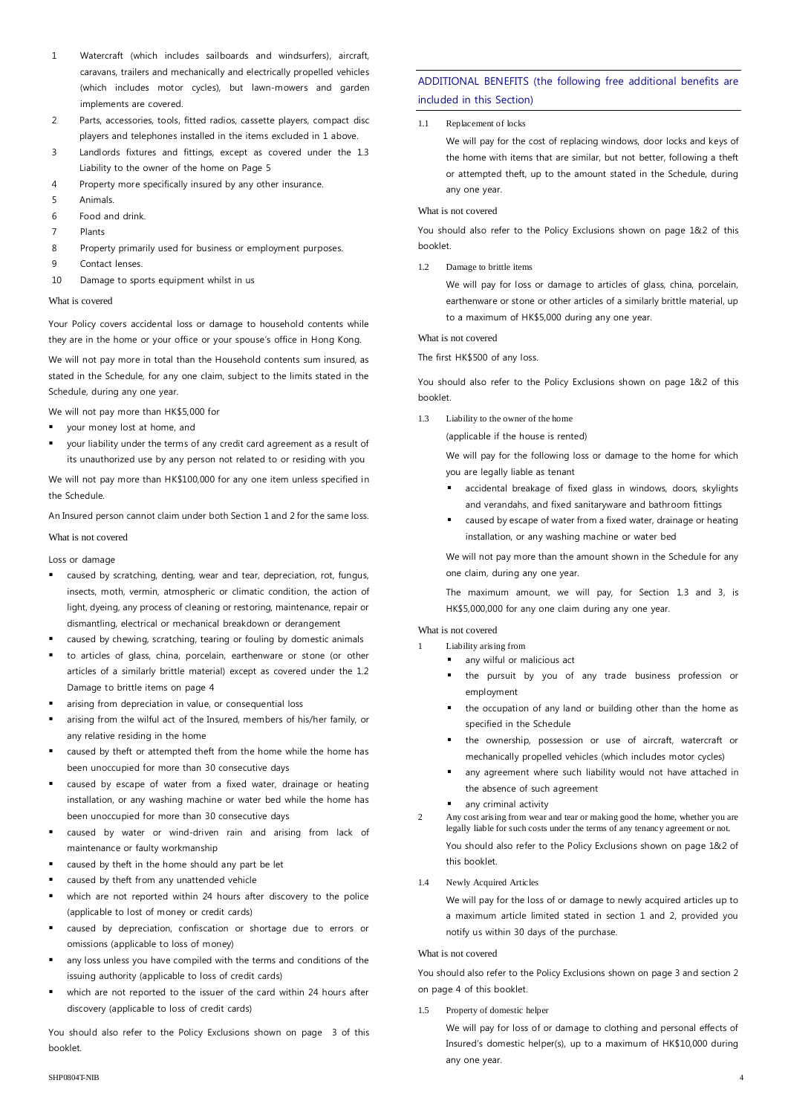- 1 Watercraft (which includes sailboards and windsurfers), aircraft, caravans, trailers and mechanically and electrically propelled vehicles (which includes motor cycles), but lawn-mowers and garden implements are covered.
- 2 Parts, accessories, tools, fitted radios, cassette players, compact disc players and telephones installed in the items excluded in 1 above.
- 3 Landlords fixtures and fittings, except as covered under the 1.3 Liability to the owner of the home on Page 5
- 4 Property more specifically insured by any other insurance.
- 5 Animals.
- 6 Food and drink.
- 7 Plants
- 8 Property primarily used for business or employment purposes.
- 9 Contact lenses.
- 10 Damage to sports equipment whilst in us

#### What is covered

Your Policy covers accidental loss or damage to household contents while they are in the home or your office or your spouse's office in Hong Kong.

We will not pay more in total than the Household contents sum insured, as stated in the Schedule, for any one claim, subject to the limits stated in the Schedule, during any one year.

We will not pay more than HK\$5,000 for

- your money lost at home, and
- your liability under the terms of any credit card agreement as a result of its unauthorized use by any person not related to or residing with you

We will not pay more than HK\$100,000 for any one item unless specified in the Schedule.

An Insured person cannot claim under both Section 1 and 2 for the same loss.

What is not covered

Loss or damage

- caused by scratching, denting, wear and tear, depreciation, rot, fungus, insects, moth, vermin, atmospheric or climatic condition, the action of light, dyeing, any process of cleaning or restoring, maintenance, repair or dismantling, electrical or mechanical breakdown or derangement
- caused by chewing, scratching, tearing or fouling by domestic animals
- to articles of glass, china, porcelain, earthenware or stone (or other articles of a similarly brittle material) except as covered under the 1.2 Damage to brittle items on page 4
- arising from depreciation in value, or consequential loss
- arising from the wilful act of the Insured, members of his/her family, or any relative residing in the home
- caused by theft or attempted theft from the home while the home has been unoccupied for more than 30 consecutive days
- caused by escape of water from a fixed water, drainage or heating installation, or any washing machine or water bed while the home has been unoccupied for more than 30 consecutive days
- caused by water or wind-driven rain and arising from lack of maintenance or faulty workmanship
- caused by theft in the home should any part be let
- caused by theft from any unattended vehicle
- which are not reported within 24 hours after discovery to the police (applicable to lost of money or credit cards)
- caused by depreciation, confiscation or shortage due to errors or omissions (applicable to loss of money)
- any loss unless you have compiled with the terms and conditions of the issuing authority (applicable to loss of credit cards)
- which are not reported to the issuer of the card within 24 hours after discovery (applicable to loss of credit cards)

You should also refer to the Policy Exclusions shown on page 3 of this booklet.

## ADDITIONAL BENEFITS (the following free additional benefits are included in this Section)

#### 1.1 Replacement of locks

We will pay for the cost of replacing windows, door locks and keys of the home with items that are similar, but not better, following a theft or attempted theft, up to the amount stated in the Schedule, during any one year.

#### What is not covered

You should also refer to the Policy Exclusions shown on page 1&2 of this booklet.

1.2 Damage to brittle items

We will pay for loss or damage to articles of glass, china, porcelain, earthenware or stone or other articles of a similarly brittle material, up to a maximum of HK\$5,000 during any one year.

#### What is not covered

The first HK\$500 of any loss.

You should also refer to the Policy Exclusions shown on page 1&2 of this booklet.

- 1.3 Liability to the owner of the home
	- (applicable if the house is rented)

We will pay for the following loss or damage to the home for which you are legally liable as tenant

- accidental breakage of fixed glass in windows, doors, skylights and verandahs, and fixed sanitaryware and bathroom fittings
- caused by escape of water from a fixed water, drainage or heating installation, or any washing machine or water bed

We will not pay more than the amount shown in the Schedule for any one claim, during any one year.

The maximum amount, we will pay, for Section 1.3 and 3, is HK\$5,000,000 for any one claim during any one year.

What is not covered

- Liability arising from
	- any wilful or malicious act
	- the pursuit by you of any trade business profession or employment
	- the occupation of any land or building other than the home as specified in the Schedule
	- the ownership, possession or use of aircraft, watercraft or mechanically propelled vehicles (which includes motor cycles)
	- any agreement where such liability would not have attached in the absence of such agreement
	- any criminal activity
- 2 Any cost arising from wear and tear or making good the home, whether you are legally liable for such costs under the terms of any tenancy agreement or not. You should also refer to the Policy Exclusions shown on page 1&2 of this booklet.
- 1.4 Newly Acquired Articles

We will pay for the loss of or damage to newly acquired articles up to a maximum article limited stated in section 1 and 2, provided you notify us within 30 days of the purchase.

#### What is not covered

You should also refer to the Policy Exclusions shown on page 3 and section 2 on page 4 of this booklet.

#### 1.5 Property of domestic helper

We will pay for loss of or damage to clothing and personal effects of Insured's domestic helper(s), up to a maximum of HK\$10,000 during any one year.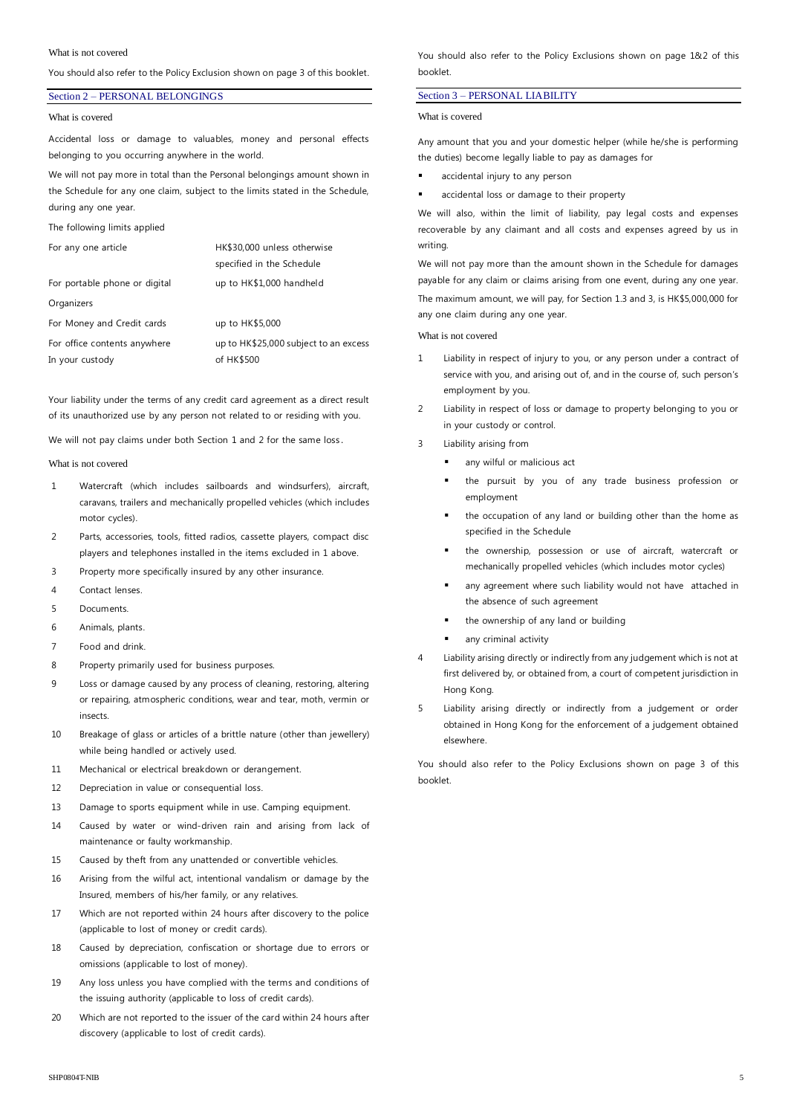#### What is not covered

You should also refer to the Policy Exclusion shown on page 3 of this booklet.

#### Section 2 – PERSONAL BELONGINGS

#### What is covered

Accidental loss or damage to valuables, money and personal effects belonging to you occurring anywhere in the world.

We will not pay more in total than the Personal belongings amount shown in the Schedule for any one claim, subject to the limits stated in the Schedule, during any one year.

The following limits applied

| For any one article           | HK\$30,000 unless otherwise           |
|-------------------------------|---------------------------------------|
|                               | specified in the Schedule             |
| For portable phone or digital | up to HK\$1,000 handheld              |
| Organizers                    |                                       |
| For Money and Credit cards    | up to HK\$5,000                       |
| For office contents anywhere  | up to HK\$25,000 subject to an excess |
| In your custody               | of HK\$500                            |
|                               |                                       |

Your liability under the terms of any credit card agreement as a direct result of its unauthorized use by any person not related to or residing with you.

We will not pay claims under both Section 1 and 2 for the same loss.

#### What is not covered

- 1 Watercraft (which includes sailboards and windsurfers), aircraft, caravans, trailers and mechanically propelled vehicles (which includes motor cycles).
- 2 Parts, accessories, tools, fitted radios, cassette players, compact disc players and telephones installed in the items excluded in 1 above.
- 3 Property more specifically insured by any other insurance.
- 4 Contact lenses.
- 5 Documents.
- 6 Animals, plants.
- 7 Food and drink.
- 8 Property primarily used for business purposes.
- 9 Loss or damage caused by any process of cleaning, restoring, altering or repairing, atmospheric conditions, wear and tear, moth, vermin or insects.
- 10 Breakage of glass or articles of a brittle nature (other than jewellery) while being handled or actively used.
- 11 Mechanical or electrical breakdown or derangement.
- 12 Depreciation in value or consequential loss.
- 13 Damage to sports equipment while in use. Camping equipment.
- 14 Caused by water or wind-driven rain and arising from lack of maintenance or faulty workmanship.
- 15 Caused by theft from any unattended or convertible vehicles.
- 16 Arising from the wilful act, intentional vandalism or damage by the Insured, members of his/her family, or any relatives.
- 17 Which are not reported within 24 hours after discovery to the police (applicable to lost of money or credit cards).
- 18 Caused by depreciation, confiscation or shortage due to errors or omissions (applicable to lost of money).
- 19 Any loss unless you have complied with the terms and conditions of the issuing authority (applicable to loss of credit cards).
- 20 Which are not reported to the issuer of the card within 24 hours after discovery (applicable to lost of credit cards).

You should also refer to the Policy Exclusions shown on page 1&2 of this booklet.

#### Section 3 – PERSONAL LIABILITY

#### What is covered

Any amount that you and your domestic helper (while he/she is performing the duties) become legally liable to pay as damages for

- accidental injury to any person
- accidental loss or damage to their property

We will also, within the limit of liability, pay legal costs and expenses recoverable by any claimant and all costs and expenses agreed by us in writing.

We will not pay more than the amount shown in the Schedule for damages payable for any claim or claims arising from one event, during any one year. The maximum amount, we will pay, for Section 1.3 and 3, is HK\$5,000,000 for any one claim during any one year.

What is not covered

- 1 Liability in respect of injury to you, or any person under a contract of service with you, and arising out of, and in the course of, such person's employment by you.
- Liability in respect of loss or damage to property belonging to you or in your custody or control.
- 3 Liability arising from
	- any wilful or malicious act
	- the pursuit by you of any trade business profession or employment
	- the occupation of any land or building other than the home as specified in the Schedule
	- the ownership, possession or use of aircraft, watercraft or mechanically propelled vehicles (which includes motor cycles)
	- any agreement where such liability would not have attached in the absence of such agreement
	- the ownership of any land or building
	- any criminal activity
- 4 Liability arising directly or indirectly from any judgement which is not at first delivered by, or obtained from, a court of competent jurisdiction in Hong Kong.
- 5 Liability arising directly or indirectly from a judgement or order obtained in Hong Kong for the enforcement of a judgement obtained elsewhere.

You should also refer to the Policy Exclusions shown on page 3 of this booklet.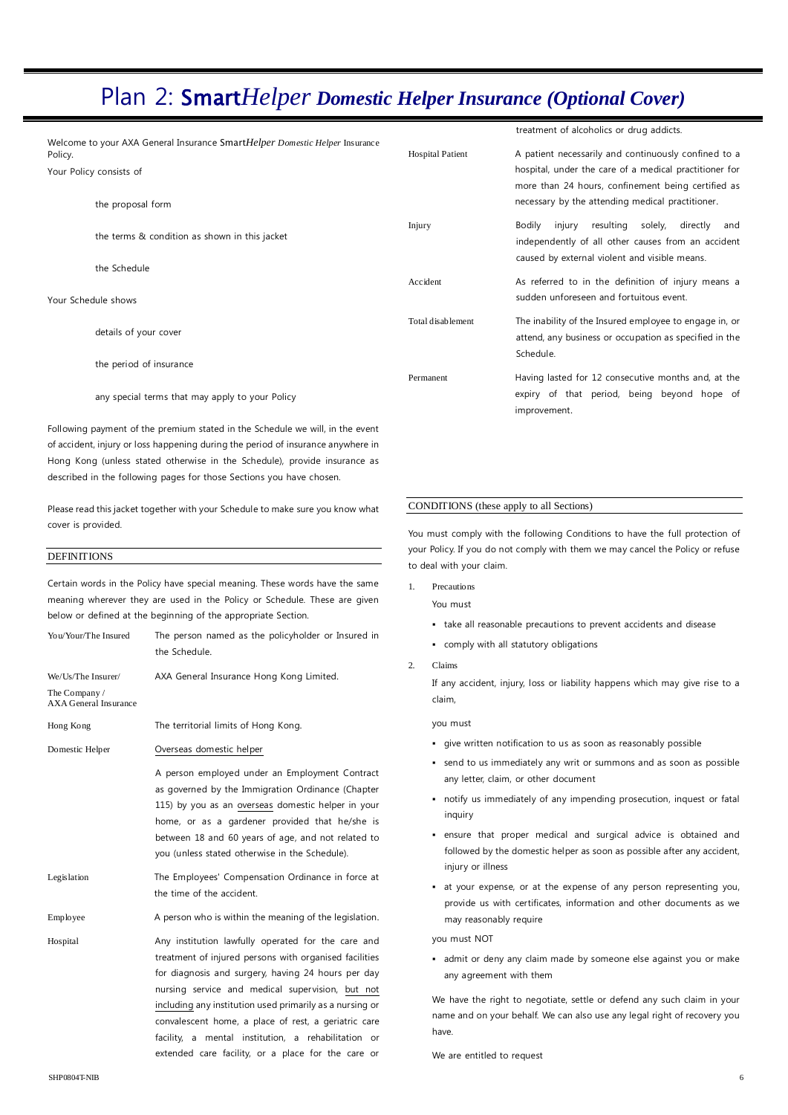## Plan 2: Smart*Helper Domestic Helper Insurance (Optional Cover)*

|                                                                                        |                                                 |                         | treatment of alcoholics or drug addicts.                                                                           |  |
|----------------------------------------------------------------------------------------|-------------------------------------------------|-------------------------|--------------------------------------------------------------------------------------------------------------------|--|
| Welcome to your AXA General Insurance SmartHelper Domestic Helper Insurance<br>Policy. |                                                 | <b>Hospital Patient</b> | A patient necessarily and continuously confined to a                                                               |  |
| Your Policy consists of                                                                |                                                 |                         | hospital, under the care of a medical practitioner for<br>more than 24 hours, confinement being certified as       |  |
|                                                                                        | the proposal form                               |                         | necessary by the attending medical practitioner.                                                                   |  |
|                                                                                        | the terms & condition as shown in this jacket   | Injury                  | resulting<br>directly<br>solely,<br>injury<br>Bodilv<br>and<br>independently of all other causes from an accident  |  |
|                                                                                        | the Schedule                                    |                         | caused by external violent and visible means.                                                                      |  |
|                                                                                        | Your Schedule shows                             | Accident                | As referred to in the definition of injury means a<br>sudden unforeseen and fortuitous event.                      |  |
|                                                                                        | details of your cover                           | Total disablement       | The inability of the Insured employee to engage in, or<br>attend, any business or occupation as specified in the   |  |
|                                                                                        | the period of insurance                         |                         | Schedule.                                                                                                          |  |
|                                                                                        | any special terms that may apply to your Policy | Permanent               | Having lasted for 12 consecutive months and, at the<br>expiry of that period, being beyond hope of<br>improvement. |  |

Following payment of the premium stated in the Schedule we will, in the event of accident, injury or loss happening during the period of insurance anywhere in Hong Kong (unless stated otherwise in the Schedule), provide insurance as described in the following pages for those Sections you have chosen.

Please read this jacket together with your Schedule to make sure you know what cover is provided.

#### **DEFINITIONS**

Certain words in the Policy have special meaning. These words have the same meaning wherever they are used in the Policy or Schedule. These are given below or defined at the beginning of the appropriate Section.

| You/Your/The Insured                | The person named as the policyholder or Insured in<br>the Schedule.                                                                                                                                                                                                                                                                                                                                                                                     |  |
|-------------------------------------|---------------------------------------------------------------------------------------------------------------------------------------------------------------------------------------------------------------------------------------------------------------------------------------------------------------------------------------------------------------------------------------------------------------------------------------------------------|--|
| We/Us/The Insurer/<br>The Company / | AXA General Insurance Hong Kong Limited.                                                                                                                                                                                                                                                                                                                                                                                                                |  |
| <b>AXA General Insurance</b>        |                                                                                                                                                                                                                                                                                                                                                                                                                                                         |  |
| Hong Kong                           | The territorial limits of Hong Kong.                                                                                                                                                                                                                                                                                                                                                                                                                    |  |
| Domestic Helper                     | Overseas domestic helper                                                                                                                                                                                                                                                                                                                                                                                                                                |  |
|                                     | A person employed under an Employment Contract<br>as governed by the Immigration Ordinance (Chapter<br>115) by you as an overseas domestic helper in your<br>home, or as a gardener provided that he/she is<br>between 18 and 60 years of age, and not related to<br>you (unless stated otherwise in the Schedule).                                                                                                                                     |  |
| Legislation                         | The Employees' Compensation Ordinance in force at<br>the time of the accident.                                                                                                                                                                                                                                                                                                                                                                          |  |
| Employee                            | A person who is within the meaning of the legislation.                                                                                                                                                                                                                                                                                                                                                                                                  |  |
| Hospital                            | Any institution lawfully operated for the care and<br>treatment of injured persons with organised facilities<br>for diagnosis and surgery, having 24 hours per day<br>nursing service and medical supervision, but not<br>including any institution used primarily as a nursing or<br>convalescent home, a place of rest, a geriatric care<br>facility, a mental institution, a rehabilitation or<br>extended care facility, or a place for the care or |  |

## CONDITIONS (these apply to all Sections)

You must comply with the following Conditions to have the full protection of your Policy. If you do not comply with them we may cancel the Policy or refuse to deal with your claim.

1. Precautions

You must

- take all reasonable precautions to prevent accidents and disease
- comply with all statutory obligations
- 2. Claims

If any accident, injury, loss or liability happens which may give rise to a claim,

you must

- give written notification to us as soon as reasonably possible
- send to us immediately any writ or summons and as soon as possible any letter, claim, or other document
- notify us immediately of any impending prosecution, inquest or fatal inquiry
- ensure that proper medical and surgical advice is obtained and followed by the domestic helper as soon as possible after any accident, injury or illness
- at your expense, or at the expense of any person representing you, provide us with certificates, information and other documents as we may reasonably require

you must NOT

 admit or deny any claim made by someone else against you or make any agreement with them

We have the right to negotiate, settle or defend any such claim in your name and on your behalf. We can also use any legal right of recovery you have.

We are entitled to request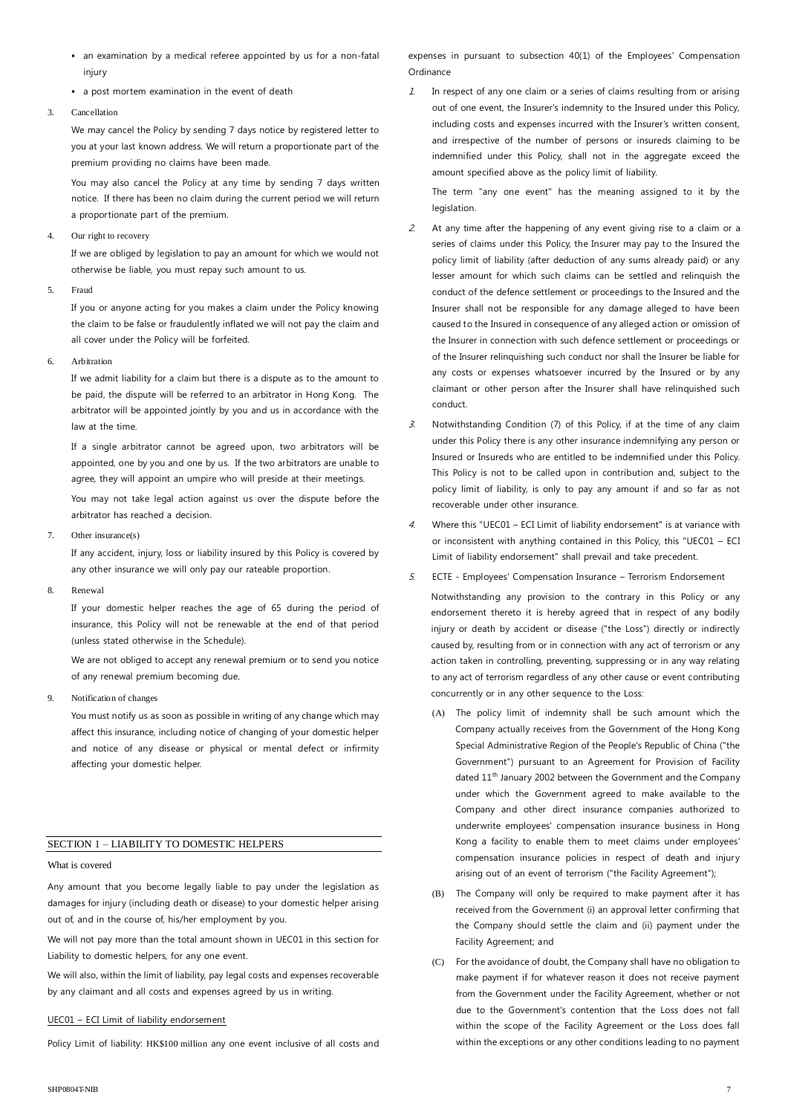- an examination by a medical referee appointed by us for a non-fatal injury
- a post mortem examination in the event of death

#### 3. Cancellation

We may cancel the Policy by sending 7 days notice by registered letter to you at your last known address. We will return a proportionate part of the premium providing no claims have been made.

You may also cancel the Policy at any time by sending 7 days written notice. If there has been no claim during the current period we will return a proportionate part of the premium.

#### 4. Our right to recovery

If we are obliged by legislation to pay an amount for which we would not otherwise be liable, you must repay such amount to us.

#### 5. Fraud

If you or anyone acting for you makes a claim under the Policy knowing the claim to be false or fraudulently inflated we will not pay the claim and all cover under the Policy will be forfeited.

#### 6. Arbitration

If we admit liability for a claim but there is a dispute as to the amount to be paid, the dispute will be referred to an arbitrator in Hong Kong. The arbitrator will be appointed jointly by you and us in accordance with the law at the time.

If a single arbitrator cannot be agreed upon, two arbitrators will be appointed, one by you and one by us. If the two arbitrators are unable to agree, they will appoint an umpire who will preside at their meetings.

You may not take legal action against us over the dispute before the arbitrator has reached a decision.

7. Other insurance(s)

If any accident, injury, loss or liability insured by this Policy is covered by any other insurance we will only pay our rateable proportion.

8. Renewal

If your domestic helper reaches the age of 65 during the period of insurance, this Policy will not be renewable at the end of that period (unless stated otherwise in the Schedule).

We are not obliged to accept any renewal premium or to send you notice of any renewal premium becoming due.

9. Notification of changes

You must notify us as soon as possible in writing of any change which may affect this insurance, including notice of changing of your domestic helper and notice of any disease or physical or mental defect or infirmity affecting your domestic helper.

#### SECTION 1 – LIABILITY TO DOMESTIC HELPERS

#### What is covered

Any amount that you become legally liable to pay under the legislation as damages for injury (including death or disease) to your domestic helper arising out of, and in the course of, his/her employment by you.

We will not pay more than the total amount shown in UEC01 in this section for Liability to domestic helpers, for any one event.

We will also, within the limit of liability, pay legal costs and expenses recoverable by any claimant and all costs and expenses agreed by us in writing.

#### UEC01 – ECI Limit of liability endorsement

Policy Limit of liability: HK\$100 million any one event inclusive of all costs and

expenses in pursuant to subsection 40(1) of the Employees' Compensation Ordinance

1. In respect of any one claim or a series of claims resulting from or arising out of one event, the Insurer's indemnity to the Insured under this Policy, including costs and expenses incurred with the Insurer's written consent, and irrespective of the number of persons or insureds claiming to be indemnified under this Policy, shall not in the aggregate exceed the amount specified above as the policy limit of liability.

The term "any one event" has the meaning assigned to it by the legislation.

- 2. At any time after the happening of any event giving rise to a claim or a series of claims under this Policy, the Insurer may pay to the Insured the policy limit of liability (after deduction of any sums already paid) or any lesser amount for which such claims can be settled and relinquish the conduct of the defence settlement or proceedings to the Insured and the Insurer shall not be responsible for any damage alleged to have been caused to the Insured in consequence of any alleged action or omission of the Insurer in connection with such defence settlement or proceedings or of the Insurer relinquishing such conduct nor shall the Insurer be liable for any costs or expenses whatsoever incurred by the Insured or by any claimant or other person after the Insurer shall have relinquished such conduct.
- 3. Notwithstanding Condition (7) of this Policy, if at the time of any claim under this Policy there is any other insurance indemnifying any person or Insured or Insureds who are entitled to be indemnified under this Policy. This Policy is not to be called upon in contribution and, subject to the policy limit of liability, is only to pay any amount if and so far as not recoverable under other insurance.
- 4. Where this "UEC01 ECI Limit of liability endorsement" is at variance with or inconsistent with anything contained in this Policy, this "UEC01 – ECI Limit of liability endorsement" shall prevail and take precedent.
- 5. ECTE Employees' Compensation Insurance Terrorism Endorsement Notwithstanding any provision to the contrary in this Policy or any endorsement thereto it is hereby agreed that in respect of any bodily injury or death by accident or disease ("the Loss") directly or indirectly caused by, resulting from or in connection with any act of terrorism or any action taken in controlling, preventing, suppressing or in any way relating to any act of terrorism regardless of any other cause or event contributing concurrently or in any other sequence to the Loss:
	- (A) The policy limit of indemnity shall be such amount which the Company actually receives from the Government of the Hong Kong Special Administrative Region of the People's Republic of China ("the Government") pursuant to an Agreement for Provision of Facility dated 11<sup>th</sup> January 2002 between the Government and the Company under which the Government agreed to make available to the Company and other direct insurance companies authorized to underwrite employees' compensation insurance business in Hong Kong a facility to enable them to meet claims under employees' compensation insurance policies in respect of death and injury arising out of an event of terrorism ("the Facility Agreement");
	- (B) The Company will only be required to make payment after it has received from the Government (i) an approval letter confirming that the Company should settle the claim and (ii) payment under the Facility Agreement; and
	- (C) For the avoidance of doubt, the Company shall have no obligation to make payment if for whatever reason it does not receive payment from the Government under the Facility Agreement, whether or not due to the Government's contention that the Loss does not fall within the scope of the Facility Agreement or the Loss does fall within the exceptions or any other conditions leading to no payment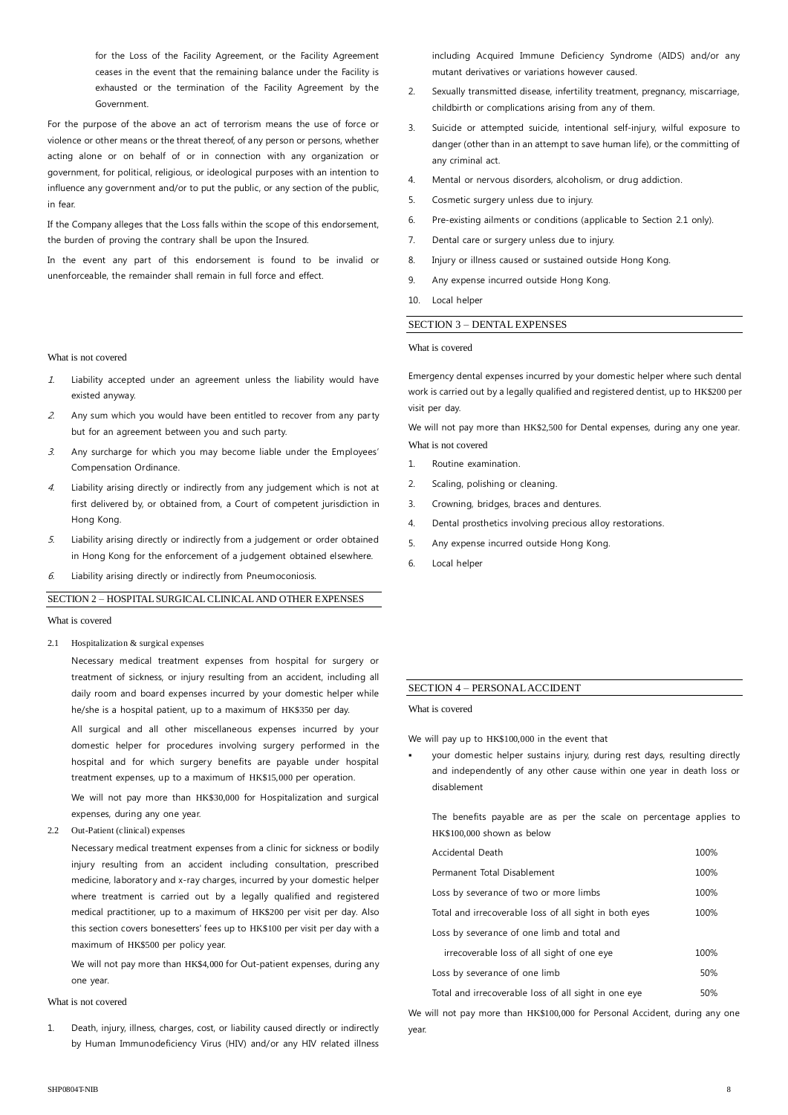for the Loss of the Facility Agreement, or the Facility Agreement ceases in the event that the remaining balance under the Facility is exhausted or the termination of the Facility Agreement by the Government.

For the purpose of the above an act of terrorism means the use of force or violence or other means or the threat thereof, of any person or persons, whether acting alone or on behalf of or in connection with any organization or government, for political, religious, or ideological purposes with an intention to influence any government and/or to put the public, or any section of the public, in fear.

If the Company alleges that the Loss falls within the scope of this endorsement, the burden of proving the contrary shall be upon the Insured.

In the event any part of this endorsement is found to be invalid or unenforceable, the remainder shall remain in full force and effect.

#### What is not covered

- 1. Liability accepted under an agreement unless the liability would have existed anyway.
- 2. Any sum which you would have been entitled to recover from any party but for an agreement between you and such party.
- $3.$  Any surcharge for which you may become liable under the Employees' Compensation Ordinance.
- 4. Liability arising directly or indirectly from any judgement which is not at first delivered by, or obtained from, a Court of competent jurisdiction in Hong Kong.
- 5. Liability arising directly or indirectly from a judgement or order obtained in Hong Kong for the enforcement of a judgement obtained elsewhere.
- $6.$  Liability arising directly or indirectly from Pneumoconiosis.

#### SECTION 2 – HOSPITAL SURGICAL CLINICAL AND OTHER EXPENSES

#### What is covered

2.1 Hospitalization & surgical expenses

Necessary medical treatment expenses from hospital for surgery or treatment of sickness, or injury resulting from an accident, including all daily room and board expenses incurred by your domestic helper while he/she is a hospital patient, up to a maximum of HK\$350 per day.

All surgical and all other miscellaneous expenses incurred by your domestic helper for procedures involving surgery performed in the hospital and for which surgery benefits are payable under hospital treatment expenses, up to a maximum of HK\$15,000 per operation.

We will not pay more than HK\$30,000 for Hospitalization and surgical expenses, during any one year.

2.2 Out-Patient (clinical) expenses

Necessary medical treatment expenses from a clinic for sickness or bodily injury resulting from an accident including consultation, prescribed medicine, laboratory and x-ray charges, incurred by your domestic helper where treatment is carried out by a legally qualified and registered medical practitioner, up to a maximum of HK\$200 per visit per day. Also this section covers bonesetters' fees up to HK\$100 per visit per day with a maximum of HK\$500 per policy year.

We will not pay more than HK\$4,000 for Out-patient expenses, during any one year.

#### What is not covered

1. Death, injury, illness, charges, cost, or liability caused directly or indirectly by Human Immunodeficiency Virus (HIV) and/or any HIV related illness including Acquired Immune Deficiency Syndrome (AIDS) and/or any mutant derivatives or variations however caused.

- 2. Sexually transmitted disease, infertility treatment, pregnancy, miscarriage, childbirth or complications arising from any of them.
- 3. Suicide or attempted suicide, intentional self-injury, wilful exposure to danger (other than in an attempt to save human life), or the committing of any criminal act.
- 4. Mental or nervous disorders, alcoholism, or drug addiction.
- 5. Cosmetic surgery unless due to injury.
- 6. Pre-existing ailments or conditions (applicable to Section 2.1 only).
- 7. Dental care or surgery unless due to injury.
- 8. Injury or illness caused or sustained outside Hong Kong.
- 9. Any expense incurred outside Hong Kong.
- 10. Local helper

#### SECTION 3 – DENTAL EXPENSES

#### What is covered

Emergency dental expenses incurred by your domestic helper where such dental work is carried out by a legally qualified and registered dentist, up to HK\$200 per visit per day.

We will not pay more than HK\$2,500 for Dental expenses, during any one year. What is not covered

- 1. Routine examination.
- 2. Scaling, polishing or cleaning.
- 3. Crowning, bridges, braces and dentures.
- 4. Dental prosthetics involving precious alloy restorations.
- 5. Any expense incurred outside Hong Kong.
- 6. Local helper

#### SECTION 4 – PERSONAL ACCIDENT

What is covered

We will pay up to HK\$100,000 in the event that

 your domestic helper sustains injury, during rest days, resulting directly and independently of any other cause within one year in death loss or disablement

The benefits payable are as per the scale on percentage applies to HK\$100,000 shown as below

| Accidental Death                                       | 100% |
|--------------------------------------------------------|------|
| Permanent Total Disablement                            |      |
| Loss by severance of two or more limbs                 | 100% |
| Total and irrecoverable loss of all sight in both eyes |      |
| Loss by severance of one limb and total and            |      |
| irrecoverable loss of all sight of one eye             | 100% |
| Loss by severance of one limb                          | 50%  |
| Total and irrecoverable loss of all sight in one eve   |      |

We will not pay more than HK\$100,000 for Personal Accident, during any one year.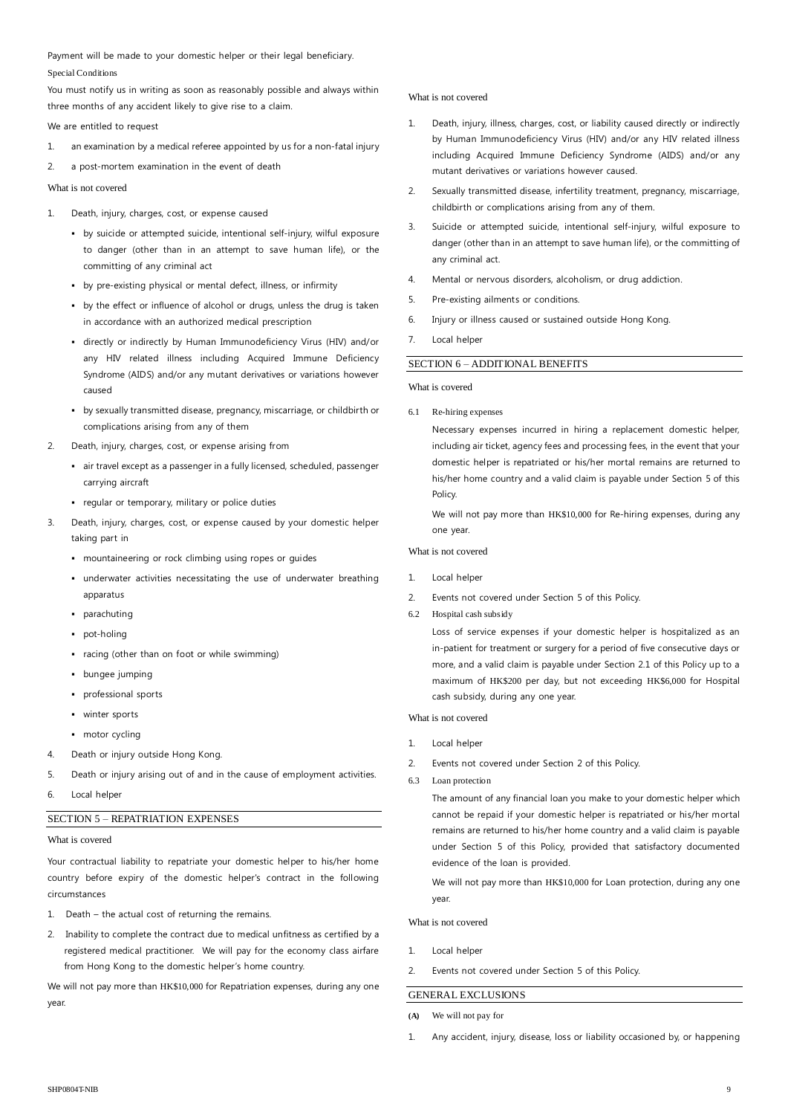Payment will be made to your domestic helper or their legal beneficiary. Special Conditions

You must notify us in writing as soon as reasonably possible and always within three months of any accident likely to give rise to a claim.

We are entitled to request

- 1. an examination by a medical referee appointed by us for a non-fatal injury
- 2. a post-mortem examination in the event of death

What is not covered

- 1. Death, injury, charges, cost, or expense caused
	- by suicide or attempted suicide, intentional self-injury, wilful exposure to danger (other than in an attempt to save human life), or the committing of any criminal act
	- by pre-existing physical or mental defect, illness, or infirmity
	- by the effect or influence of alcohol or drugs, unless the drug is taken in accordance with an authorized medical prescription
	- directly or indirectly by Human Immunodeficiency Virus (HIV) and/or any HIV related illness including Acquired Immune Deficiency Syndrome (AIDS) and/or any mutant derivatives or variations however caused
	- by sexually transmitted disease, pregnancy, miscarriage, or childbirth or complications arising from any of them
- 2. Death, injury, charges, cost, or expense arising from
	- air travel except as a passenger in a fully licensed, scheduled, passenger carrying aircraft
	- regular or temporary, military or police duties
- 3. Death, injury, charges, cost, or expense caused by your domestic helper taking part in
	- mountaineering or rock climbing using ropes or guides
	- underwater activities necessitating the use of underwater breathing apparatus
	- parachuting
	- pot-holing
	- racing (other than on foot or while swimming)
	- bungee jumping
	- professional sports
	- **winter sports**
	- motor cycling
- 4. Death or injury outside Hong Kong.
- 5. Death or injury arising out of and in the cause of employment activities.
- 6. Local helper

### SECTION 5 – REPATRIATION EXPENSES

What is covered

Your contractual liability to repatriate your domestic helper to his/her home country before expiry of the domestic helper's contract in the following circumstances

- 1. Death the actual cost of returning the remains.
- 2. Inability to complete the contract due to medical unfitness as certified by a registered medical practitioner. We will pay for the economy class airfare from Hong Kong to the domestic helper's home country.

We will not pay more than HK\$10,000 for Repatriation expenses, during any one year.

#### What is not covered

- Death, injury, illness, charges, cost, or liability caused directly or indirectly by Human Immunodeficiency Virus (HIV) and/or any HIV related illness including Acquired Immune Deficiency Syndrome (AIDS) and/or any mutant derivatives or variations however caused.
- 2. Sexually transmitted disease, infertility treatment, pregnancy, miscarriage, childbirth or complications arising from any of them.
- 3. Suicide or attempted suicide, intentional self-injury, wilful exposure to danger (other than in an attempt to save human life), or the committing of any criminal act.
- 4. Mental or nervous disorders, alcoholism, or drug addiction.
- 5. Pre-existing ailments or conditions.
- 6. Injury or illness caused or sustained outside Hong Kong.
- 7. Local helper

### SECTION 6 – ADDITIONAL BENEFITS

#### What is covered

6.1 Re-hiring expenses

Necessary expenses incurred in hiring a replacement domestic helper, including air ticket, agency fees and processing fees, in the event that your domestic helper is repatriated or his/her mortal remains are returned to his/her home country and a valid claim is payable under Section 5 of this Policy.

We will not pay more than HK\$10,000 for Re-hiring expenses, during any one year.

#### What is not covered

- 1. Local helper
- 2. Events not covered under Section 5 of this Policy.
- 6.2 Hospital cash subsidy

Loss of service expenses if your domestic helper is hospitalized as an in-patient for treatment or surgery for a period of five consecutive days or more, and a valid claim is payable under Section 2.1 of this Policy up to a maximum of HK\$200 per day, but not exceeding HK\$6,000 for Hospital cash subsidy, during any one year.

What is not covered

- 1. Local helper
- 2. Events not covered under Section 2 of this Policy.
- 6.3 Loan protection

The amount of any financial loan you make to your domestic helper which cannot be repaid if your domestic helper is repatriated or his/her mortal remains are returned to his/her home country and a valid claim is payable under Section 5 of this Policy, provided that satisfactory documented evidence of the loan is provided.

We will not pay more than HK\$10,000 for Loan protection, during any one year.

What is not covered

- 1. Local helper
- 2. Events not covered under Section 5 of this Policy.

## GENERAL EXCLUSIONS

- **(A)** We will not pay for
- 1. Any accident, injury, disease, loss or liability occasioned by, or happening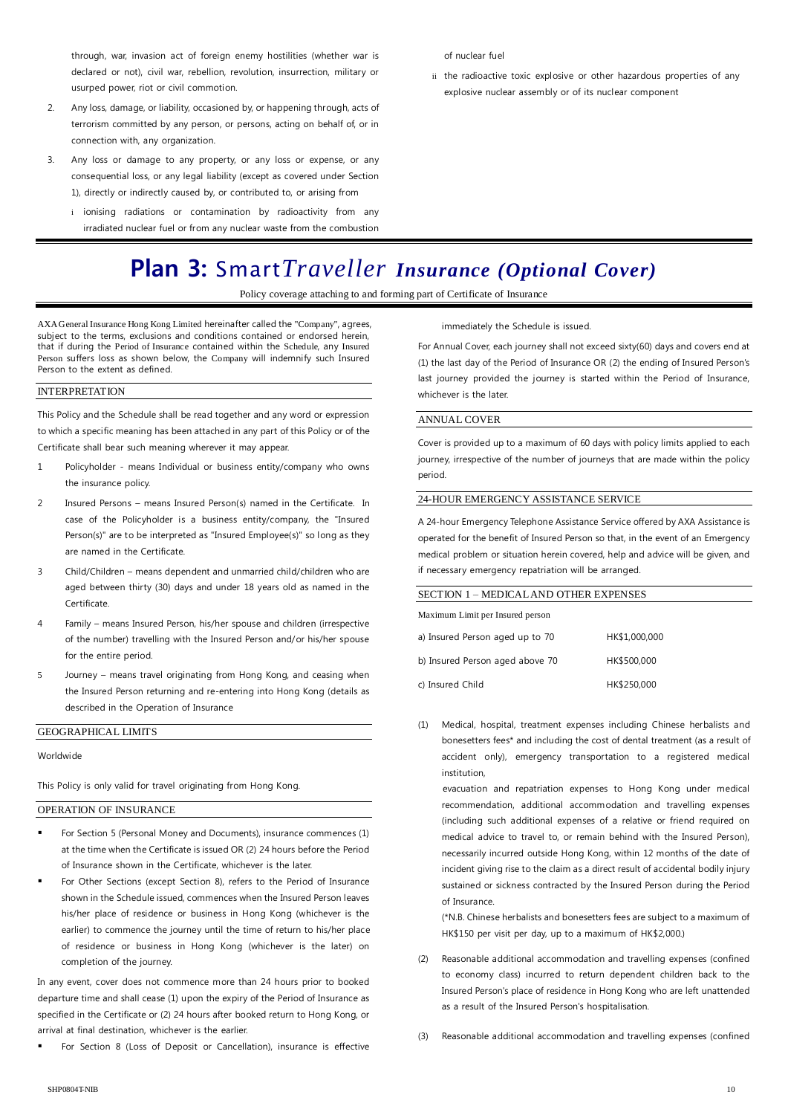through, war, invasion act of foreign enemy hostilities (whether war is declared or not), civil war, rebellion, revolution, insurrection, military or usurped power, riot or civil commotion.

- 2. Any loss, damage, or liability, occasioned by, or happening through, acts of terrorism committed by any person, or persons, acting on behalf of, or in connection with, any organization.
- 3. Any loss or damage to any property, or any loss or expense, or any consequential loss, or any legal liability (except as covered under Section 1), directly or indirectly caused by, or contributed to, or arising from
	- i ionising radiations or contamination by radioactivity from any irradiated nuclear fuel or from any nuclear waste from the combustion

#### of nuclear fuel

ii the radioactive toxic explosive or other hazardous properties of any explosive nuclear assembly or of its nuclear component

# **Plan 3:** Smart*Traveller Insurance (Optional Cover)*

Policy coverage attaching to and forming part of Certificate of Insurance

AXA General Insurance Hong Kong Limited hereinafter called the "Company", agrees, subject to the terms, exclusions and conditions contained or endorsed herein, that if during the Period of Insurance contained within the Schedule, any Insured Person suffers loss as shown below, the Company will indemnify such Insured Person to the extent as defined.

#### INTERPRETATION

This Policy and the Schedule shall be read together and any word or expression to which a specific meaning has been attached in any part of this Policy or of the Certificate shall bear such meaning wherever it may appear.

- 1 Policyholder means Individual or business entity/company who owns the insurance policy.
- 2 Insured Persons means Insured Person(s) named in the Certificate. In case of the Policyholder is a business entity/company, the "Insured Person(s)" are to be interpreted as "Insured Employee(s)" so long as they are named in the Certificate.
- 3 Child/Children means dependent and unmarried child/children who are aged between thirty (30) days and under 18 years old as named in the Certificate.
- 4 Family means Insured Person, his/her spouse and children (irrespective of the number) travelling with the Insured Person and/or his/her spouse for the entire period.
- 5 Journey means travel originating from Hong Kong, and ceasing when the Insured Person returning and re-entering into Hong Kong (details as described in the Operation of Insurance

#### GEOGRAPHICAL LIMITS

Worldwide

This Policy is only valid for travel originating from Hong Kong.

#### OPERATION OF INSURANCE

- For Section 5 (Personal Money and Documents), insurance commences (1) at the time when the Certificate is issued OR (2) 24 hours before the Period of Insurance shown in the Certificate, whichever is the later.
- For Other Sections (except Section 8), refers to the Period of Insurance shown in the Schedule issued, commences when the Insured Person leaves his/her place of residence or business in Hong Kong (whichever is the earlier) to commence the journey until the time of return to his/her place of residence or business in Hong Kong (whichever is the later) on completion of the journey.

In any event, cover does not commence more than 24 hours prior to booked departure time and shall cease (1) upon the expiry of the Period of Insurance as specified in the Certificate or (2) 24 hours after booked return to Hong Kong, or arrival at final destination, whichever is the earlier.

For Section 8 (Loss of Deposit or Cancellation), insurance is effective

immediately the Schedule is issued.

For Annual Cover, each journey shall not exceed sixty(60) days and covers end at (1) the last day of the Period of Insurance OR (2) the ending of Insured Person's last journey provided the journey is started within the Period of Insurance, whichever is the later.

#### ANNUAL COVER

Cover is provided up to a maximum of 60 days with policy limits applied to each journey, irrespective of the number of journeys that are made within the policy period.

#### 24-HOUR EMERGENCY ASSISTANCE SERVICE

A 24-hour Emergency Telephone Assistance Service offered by AXA Assistance is operated for the benefit of Insured Person so that, in the event of an Emergency medical problem or situation herein covered, help and advice will be given, and if necessary emergency repatriation will be arranged.

| <b>SECTION 1 – MEDICAL AND OTHER EXPENSES</b> |               |  |
|-----------------------------------------------|---------------|--|
| Maximum Limit per Insured person              |               |  |
| a) Insured Person aged up to 70               | HK\$1,000,000 |  |
| b) Insured Person aged above 70               | HK\$500,000   |  |
| c) Insured Child                              | HK\$250,000   |  |

Medical, hospital, treatment expenses including Chinese herbalists and bonesetters fees\* and including the cost of dental treatment (as a result of accident only), emergency transportation to a registered medical institution,

evacuation and repatriation expenses to Hong Kong under medical recommendation, additional accommodation and travelling expenses (including such additional expenses of a relative or friend required on medical advice to travel to, or remain behind with the Insured Person), necessarily incurred outside Hong Kong, within 12 months of the date of incident giving rise to the claim as a direct result of accidental bodily injury sustained or sickness contracted by the Insured Person during the Period of Insurance.

(\*N.B. Chinese herbalists and bonesetters fees are subject to a maximum of HK\$150 per visit per day, up to a maximum of HK\$2,000.)

- (2) Reasonable additional accommodation and travelling expenses (confined to economy class) incurred to return dependent children back to the Insured Person's place of residence in Hong Kong who are left unattended as a result of the Insured Person's hospitalisation.
- Reasonable additional accommodation and travelling expenses (confined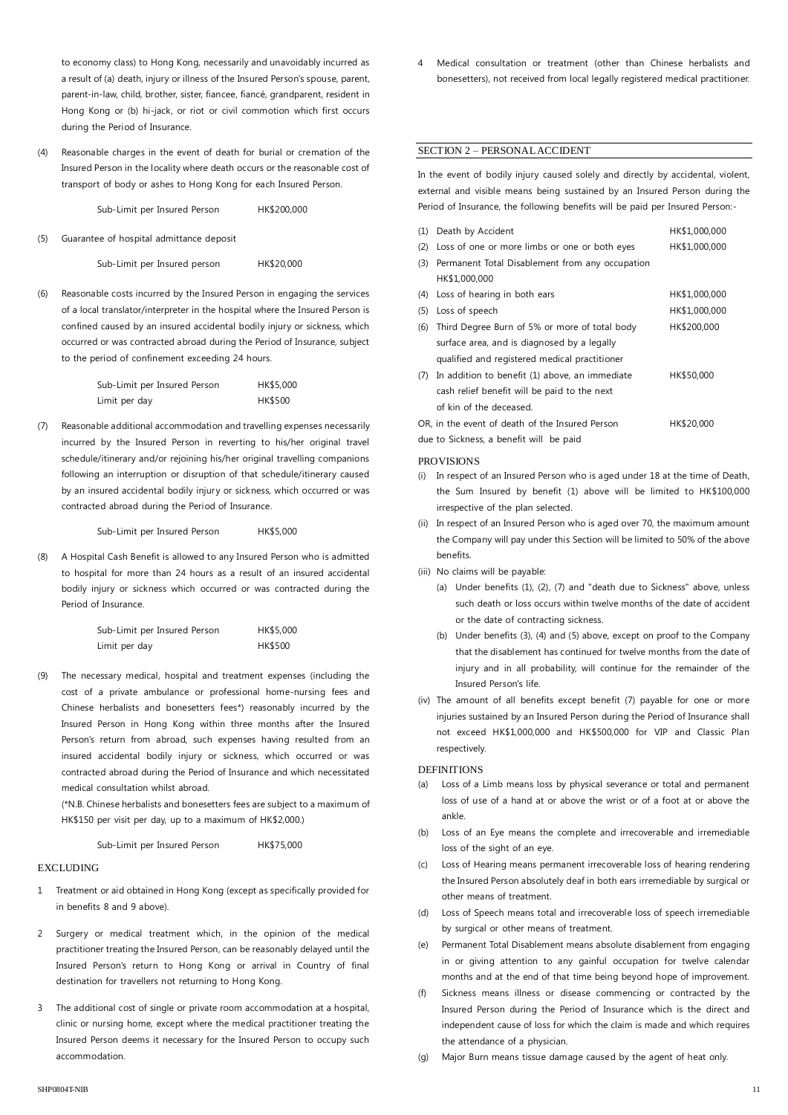to economy class) to Hong Kong, necessarily and unavoidably incurred as a result of (a) death, injury or illness of the Insured Person's spouse, parent, parent-in-law, child, brother, sister, fiancee, fiancé, grandparent, resident in Hong Kong or (b) hi-jack, or riot or civil commotion which first occurs during the Period of Insurance.

(4) Reasonable charges in the event of death for burial or cremation of the Insured Person in the locality where death occurs or the reasonable cost of transport of body or ashes to Hong Kong for each Insured Person.

Sub-Limit per Insured Person HK\$200,000

(5) Guarantee of hospital admittance deposit

Sub-Limit per Insured person HK\$20,000

(6) Reasonable costs incurred by the Insured Person in engaging the services of a local translator/interpreter in the hospital where the Insured Person is confined caused by an insured accidental bodily injury or sickness, which occurred or was contracted abroad during the Period of Insurance, subject to the period of confinement exceeding 24 hours.

| Sub-Limit per Insured Person | HK\$5,000      |
|------------------------------|----------------|
| Limit per day                | <b>HK\$500</b> |

(7) Reasonable additional accommodation and travelling expenses necessarily incurred by the Insured Person in reverting to his/her original travel schedule/itinerary and/or rejoining his/her original travelling companions following an interruption or disruption of that schedule/itinerary caused by an insured accidental bodily injury or sickness, which occurred or was contracted abroad during the Period of Insurance.

Sub-Limit per Insured Person HK\$5,000

(8) A Hospital Cash Benefit is allowed to any Insured Person who is admitted to hospital for more than 24 hours as a result of an insured accidental bodily injury or sickness which occurred or was contracted during the Period of Insurance.

| Sub-Limit per Insured Person | HK\$5,000      |
|------------------------------|----------------|
| Limit per day                | <b>HK\$500</b> |

(9) The necessary medical, hospital and treatment expenses (including the cost of a private ambulance or professional home-nursing fees and Chinese herbalists and bonesetters fees\*) reasonably incurred by the Insured Person in Hong Kong within three months after the Insured Person's return from abroad, such expenses having resulted from an insured accidental bodily injury or sickness, which occurred or was contracted abroad during the Period of Insurance and which necessitated medical consultation whilst abroad.

(\*N.B. Chinese herbalists and bonesetters fees are subject to a maximum of HK\$150 per visit per day, up to a maximum of HK\$2,000.)

Sub-Limit per Insured Person HK\$75,000

#### **EXCLUDING**

- 1 Treatment or aid obtained in Hong Kong (except as specifically provided for in benefits 8 and 9 above).
- 2 Surgery or medical treatment which, in the opinion of the medical practitioner treating the Insured Person, can be reasonably delayed until the Insured Person's return to Hong Kong or arrival in Country of final destination for travellers not returning to Hong Kong.
- 3 The additional cost of single or private room accommodation at a hospital, clinic or nursing home, except where the medical practitioner treating the Insured Person deems it necessary for the Insured Person to occupy such accommodation.

Medical consultation or treatment (other than Chinese herbalists and bonesetters), not received from local legally registered medical practitioner.

#### SECTION 2 – PERSONAL ACCIDENT

In the event of bodily injury caused solely and directly by accidental, violent, external and visible means being sustained by an Insured Person during the Period of Insurance, the following benefits will be paid per Insured Person:-

| (1) | Death by Accident                               | HK\$1,000,000 |
|-----|-------------------------------------------------|---------------|
| (2) | Loss of one or more limbs or one or both eyes   | HK\$1,000,000 |
| (3) | Permanent Total Disablement from any occupation |               |
|     | HK\$1,000,000                                   |               |
| (4) | Loss of hearing in both ears                    | HK\$1,000,000 |
| (5) | Loss of speech                                  | HK\$1,000,000 |
| (6) | Third Degree Burn of 5% or more of total body   | HK\$200,000   |
|     | surface area, and is diagnosed by a legally     |               |
|     | qualified and registered medical practitioner   |               |
| (7) | In addition to benefit (1) above, an immediate  | HK\$50,000    |
|     | cash relief benefit will be paid to the next    |               |
|     | of kin of the deceased.                         |               |
|     | OR, in the event of death of the Insured Person | HK\$20,000    |
|     | due to Sickness, a benefit will be paid         |               |

#### **PROVISIONS**

- (i) In respect of an Insured Person who is aged under 18 at the time of Death, the Sum Insured by benefit (1) above will be limited to HK\$100,000 irrespective of the plan selected.
- (ii) In respect of an Insured Person who is aged over 70, the maximum amount the Company will pay under this Section will be limited to 50% of the above benefits.
- (iii) No claims will be payable:
	- (a) Under benefits (1), (2), (7) and "death due to Sickness" above, unless such death or loss occurs within twelve months of the date of accident or the date of contracting sickness.
	- (b) Under benefits (3), (4) and (5) above, except on proof to the Company that the disablement has continued for twelve months from the date of injury and in all probability, will continue for the remainder of the Insured Person's life.
- (iv) The amount of all benefits except benefit (7) payable for one or more injuries sustained by an Insured Person during the Period of Insurance shall not exceed HK\$1,000,000 and HK\$500,000 for VIP and Classic Plan respectively.

#### **DEFINITIONS**

- (a) Loss of a Limb means loss by physical severance or total and permanent loss of use of a hand at or above the wrist or of a foot at or above the ankle.
- (b) Loss of an Eye means the complete and irrecoverable and irremediable loss of the sight of an eye.
- (c) Loss of Hearing means permanent irrecoverable loss of hearing rendering the Insured Person absolutely deaf in both ears irremediable by surgical or other means of treatment.
- (d) Loss of Speech means total and irrecoverable loss of speech irremediable by surgical or other means of treatment.
- (e) Permanent Total Disablement means absolute disablement from engaging in or giving attention to any gainful occupation for twelve calendar months and at the end of that time being beyond hope of improvement.
- (f) Sickness means illness or disease commencing or contracted by the Insured Person during the Period of Insurance which is the direct and independent cause of loss for which the claim is made and which requires the attendance of a physician.
- (g) Major Burn means tissue damage caused by the agent of heat only.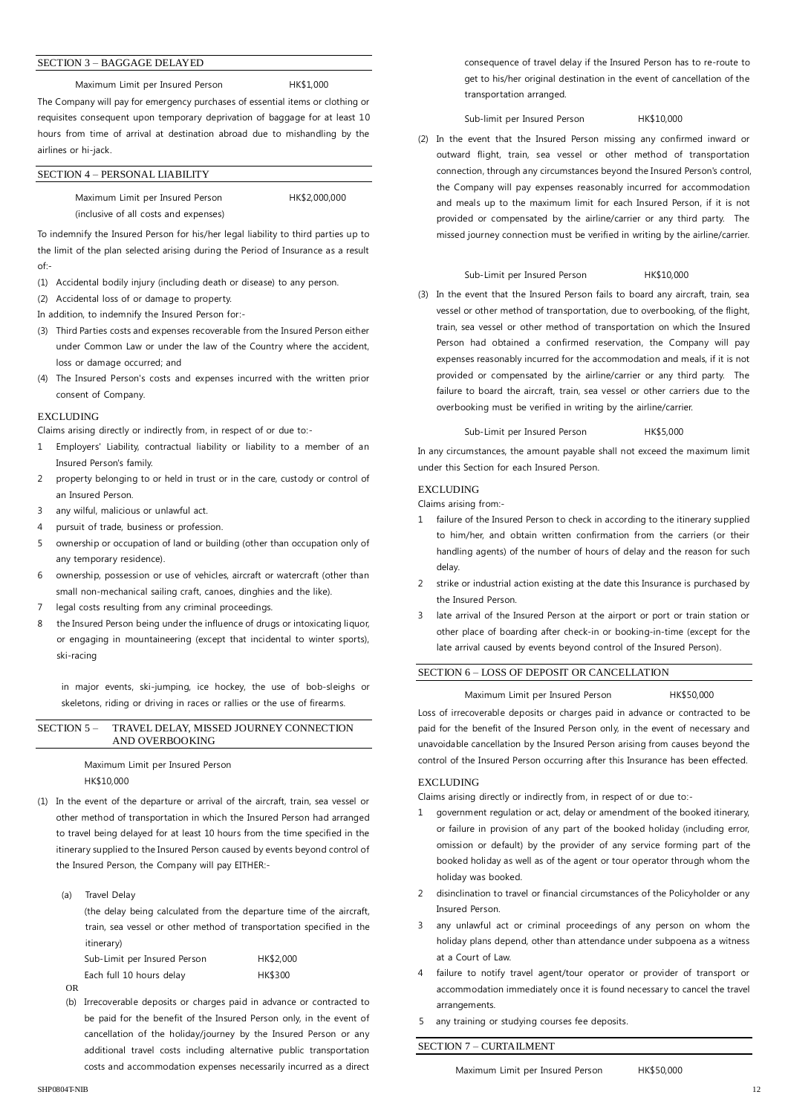#### SECTION 3 – BAGGAGE DELAYED

Maximum Limit per Insured Person HK\$1,000

The Company will pay for emergency purchases of essential items or clothing or requisites consequent upon temporary deprivation of baggage for at least 10 hours from time of arrival at destination abroad due to mishandling by the airlines or hi-jack.

#### SECTION 4 – PERSONAL LIABILITY

Maximum Limit per Insured Person HK\$2,000,000 (inclusive of all costs and expenses)

To indemnify the Insured Person for his/her legal liability to third parties up to the limit of the plan selected arising during the Period of Insurance as a result of:-

(1) Accidental bodily injury (including death or disease) to any person.

(2) Accidental loss of or damage to property.

In addition, to indemnify the Insured Person for:-

- (3) Third Parties costs and expenses recoverable from the Insured Person either under Common Law or under the law of the Country where the accident, loss or damage occurred; and
- (4) The Insured Person's costs and expenses incurred with the written prior consent of Company.

#### **EXCLUDING**

Claims arising directly or indirectly from, in respect of or due to:-

- 1 Employers' Liability, contractual liability or liability to a member of an Insured Person's family.
- 2 property belonging to or held in trust or in the care, custody or control of an Insured Person.
- 3 any wilful, malicious or unlawful act.
- 4 pursuit of trade, business or profession.
- 5 ownership or occupation of land or building (other than occupation only of any temporary residence).
- 6 ownership, possession or use of vehicles, aircraft or watercraft (other than small non-mechanical sailing craft, canoes, dinghies and the like).
- 7 legal costs resulting from any criminal proceedings.
- 8 the Insured Person being under the influence of drugs or intoxicating liquor, or engaging in mountaineering (except that incidental to winter sports), ski-racing

in major events, ski-jumping, ice hockey, the use of bob-sleighs or skeletons, riding or driving in races or rallies or the use of firearms.

#### SECTION 5 – TRAVEL DELAY, MISSED JOURNEY CONNECTION AND OVERBOOKING

Maximum Limit per Insured Person HK\$10,000

- (1) In the event of the departure or arrival of the aircraft, train, sea vessel or other method of transportation in which the Insured Person had arranged to travel being delayed for at least 10 hours from the time specified in the itinerary supplied to the Insured Person caused by events beyond control of the Insured Person, the Company will pay EITHER:-
	- (a) Travel Delay

(the delay being calculated from the departure time of the aircraft, train, sea vessel or other method of transportation specified in the itinerary)

| Sub-Limit per Insured Person | HK\$2,000      |
|------------------------------|----------------|
| Each full 10 hours delay     | <b>HK\$300</b> |

OR

(b) Irrecoverable deposits or charges paid in advance or contracted to be paid for the benefit of the Insured Person only, in the event of cancellation of the holiday/journey by the Insured Person or any additional travel costs including alternative public transportation costs and accommodation expenses necessarily incurred as a direct

consequence of travel delay if the Insured Person has to re-route to get to his/her original destination in the event of cancellation of the transportation arranged.

Sub-limit per Insured Person HK\$10,000

(2) In the event that the Insured Person missing any confirmed inward or outward flight, train, sea vessel or other method of transportation connection, through any circumstances beyond the Insured Person's control, the Company will pay expenses reasonably incurred for accommodation and meals up to the maximum limit for each Insured Person, if it is not provided or compensated by the airline/carrier or any third party. The missed journey connection must be verified in writing by the airline/carrier.

#### Sub-Limit per Insured Person HK\$10,000

(3) In the event that the Insured Person fails to board any aircraft, train, sea vessel or other method of transportation, due to overbooking, of the flight, train, sea vessel or other method of transportation on which the Insured Person had obtained a confirmed reservation, the Company will pay expenses reasonably incurred for the accommodation and meals, if it is not provided or compensated by the airline/carrier or any third party. The failure to board the aircraft, train, sea vessel or other carriers due to the overbooking must be verified in writing by the airline/carrier.

#### Sub-Limit per Insured Person HK\$5,000

In any circumstances, the amount payable shall not exceed the maximum limit under this Section for each Insured Person.

#### **EXCLUDING**

Claims arising from:-

- 1 failure of the Insured Person to check in according to the itinerary supplied to him/her, and obtain written confirmation from the carriers (or their handling agents) of the number of hours of delay and the reason for such delay.
- 2 strike or industrial action existing at the date this Insurance is purchased by the Insured Person.
- 3 late arrival of the Insured Person at the airport or port or train station or other place of boarding after check-in or booking-in-time (except for the late arrival caused by events beyond control of the Insured Person).

#### SECTION 6 – LOSS OF DEPOSIT OR CANCELLATION

#### Maximum Limit per Insured Person HK\$50,000

Loss of irrecoverable deposits or charges paid in advance or contracted to be paid for the benefit of the Insured Person only, in the event of necessary and unavoidable cancellation by the Insured Person arising from causes beyond the control of the Insured Person occurring after this Insurance has been effected.

#### **EXCLUDING**

Claims arising directly or indirectly from, in respect of or due to:-

- 1 government regulation or act, delay or amendment of the booked itinerary, or failure in provision of any part of the booked holiday (including error, omission or default) by the provider of any service forming part of the booked holiday as well as of the agent or tour operator through whom the holiday was booked.
- 2 disinclination to travel or financial circumstances of the Policyholder or any Insured Person.
- 3 any unlawful act or criminal proceedings of any person on whom the holiday plans depend, other than attendance under subpoena as a witness at a Court of Law.
- 4 failure to notify travel agent/tour operator or provider of transport or accommodation immediately once it is found necessary to cancel the travel arrangements.
- 5 any training or studying courses fee deposits.

### SECTION 7 – CURTAILMENT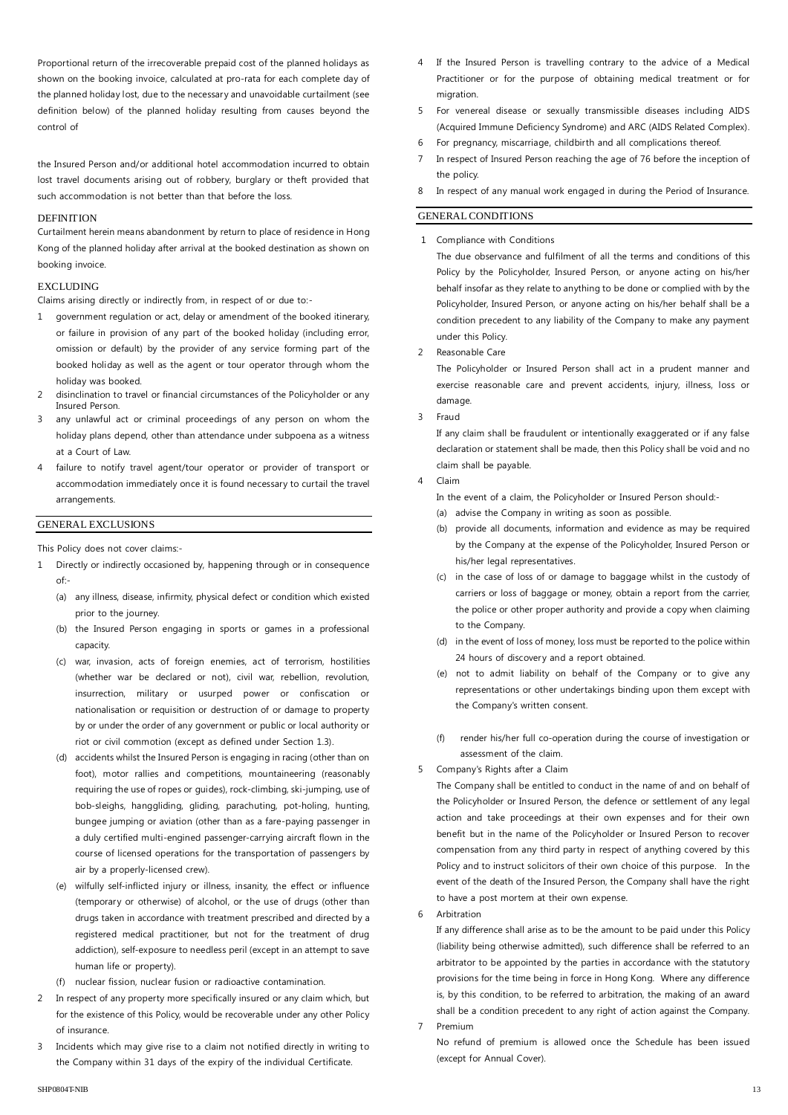Proportional return of the irrecoverable prepaid cost of the planned holidays as shown on the booking invoice, calculated at pro-rata for each complete day of the planned holiday lost, due to the necessary and unavoidable curtailment (see definition below) of the planned holiday resulting from causes beyond the control of

the Insured Person and/or additional hotel accommodation incurred to obtain lost travel documents arising out of robbery, burglary or theft provided that such accommodation is not better than that before the loss.

#### **DEFINITION**

Curtailment herein means abandonment by return to place of residence in Hong Kong of the planned holiday after arrival at the booked destination as shown on booking invoice.

#### EXCLUDING

Claims arising directly or indirectly from, in respect of or due to:-

- 1 government regulation or act, delay or amendment of the booked itinerary, or failure in provision of any part of the booked holiday (including error, omission or default) by the provider of any service forming part of the booked holiday as well as the agent or tour operator through whom the holiday was booked.
- 2 disinclination to travel or financial circumstances of the Policyholder or any Insured Person.
- 3 any unlawful act or criminal proceedings of any person on whom the holiday plans depend, other than attendance under subpoena as a witness at a Court of Law.
- 4 failure to notify travel agent/tour operator or provider of transport or accommodation immediately once it is found necessary to curtail the travel arrangements.

#### GENERAL EXCLUSIONS

This Policy does not cover claims:-

- 1 Directly or indirectly occasioned by, happening through or in consequence of:-
	- (a) any illness, disease, infirmity, physical defect or condition which existed prior to the journey.
	- (b) the Insured Person engaging in sports or games in a professional capacity.
	- (c) war, invasion, acts of foreign enemies, act of terrorism, hostilities (whether war be declared or not), civil war, rebellion, revolution, insurrection, military or usurped power or confiscation or nationalisation or requisition or destruction of or damage to property by or under the order of any government or public or local authority or riot or civil commotion (except as defined under Section 1.3).
	- (d) accidents whilst the Insured Person is engaging in racing (other than on foot), motor rallies and competitions, mountaineering (reasonably requiring the use of ropes or guides), rock-climbing, ski-jumping, use of bob-sleighs, hanggliding, gliding, parachuting, pot-holing, hunting, bungee jumping or aviation (other than as a fare-paying passenger in a duly certified multi-engined passenger-carrying aircraft flown in the course of licensed operations for the transportation of passengers by air by a properly-licensed crew).
	- (e) wilfully self-inflicted injury or illness, insanity, the effect or influence (temporary or otherwise) of alcohol, or the use of drugs (other than drugs taken in accordance with treatment prescribed and directed by a registered medical practitioner, but not for the treatment of drug addiction), self-exposure to needless peril (except in an attempt to save human life or property).
	- nuclear fission, nuclear fusion or radioactive contamination.
- 2 In respect of any property more specifically insured or any claim which, but for the existence of this Policy, would be recoverable under any other Policy of insurance.
- 3 Incidents which may give rise to a claim not notified directly in writing to the Company within 31 days of the expiry of the individual Certificate.
- 4 If the Insured Person is travelling contrary to the advice of a Medical Practitioner or for the purpose of obtaining medical treatment or for migration.
- 5 For venereal disease or sexually transmissible diseases including AIDS (Acquired Immune Deficiency Syndrome) and ARC (AIDS Related Complex).
- 6 For pregnancy, miscarriage, childbirth and all complications thereof.
- 7 In respect of Insured Person reaching the age of 76 before the inception of the policy.
- 8 In respect of any manual work engaged in during the Period of Insurance.

#### GENERAL CONDITIONS

1 Compliance with Conditions

The due observance and fulfilment of all the terms and conditions of this Policy by the Policyholder, Insured Person, or anyone acting on his/her behalf insofar as they relate to anything to be done or complied with by the Policyholder, Insured Person, or anyone acting on his/her behalf shall be a condition precedent to any liability of the Company to make any payment under this Policy.

2 Reasonable Care

The Policyholder or Insured Person shall act in a prudent manner and exercise reasonable care and prevent accidents, injury, illness, loss or damage.

3 Fraud

If any claim shall be fraudulent or intentionally exaggerated or if any false declaration or statement shall be made, then this Policy shall be void and no claim shall be payable.

#### 4 Claim

In the event of a claim, the Policyholder or Insured Person should:-

- (a) advise the Company in writing as soon as possible.
- (b) provide all documents, information and evidence as may be required by the Company at the expense of the Policyholder, Insured Person or his/her legal representatives.
- (c) in the case of loss of or damage to baggage whilst in the custody of carriers or loss of baggage or money, obtain a report from the carrier, the police or other proper authority and provide a copy when claiming to the Company.
- (d) in the event of loss of money, loss must be reported to the police within 24 hours of discovery and a report obtained.
- (e) not to admit liability on behalf of the Company or to give any representations or other undertakings binding upon them except with the Company's written consent.
- (f) render his/her full co-operation during the course of investigation or assessment of the claim.
- 5 Company's Rights after a Claim

The Company shall be entitled to conduct in the name of and on behalf of the Policyholder or Insured Person, the defence or settlement of any legal action and take proceedings at their own expenses and for their own benefit but in the name of the Policyholder or Insured Person to recover compensation from any third party in respect of anything covered by this Policy and to instruct solicitors of their own choice of this purpose. In the event of the death of the Insured Person, the Company shall have the right to have a post mortem at their own expense.

6 Arbitration

If any difference shall arise as to be the amount to be paid under this Policy (liability being otherwise admitted), such difference shall be referred to an arbitrator to be appointed by the parties in accordance with the statutory provisions for the time being in force in Hong Kong. Where any difference is, by this condition, to be referred to arbitration, the making of an award shall be a condition precedent to any right of action against the Company. 7 Premium

No refund of premium is allowed once the Schedule has been issued (except for Annual Cover).